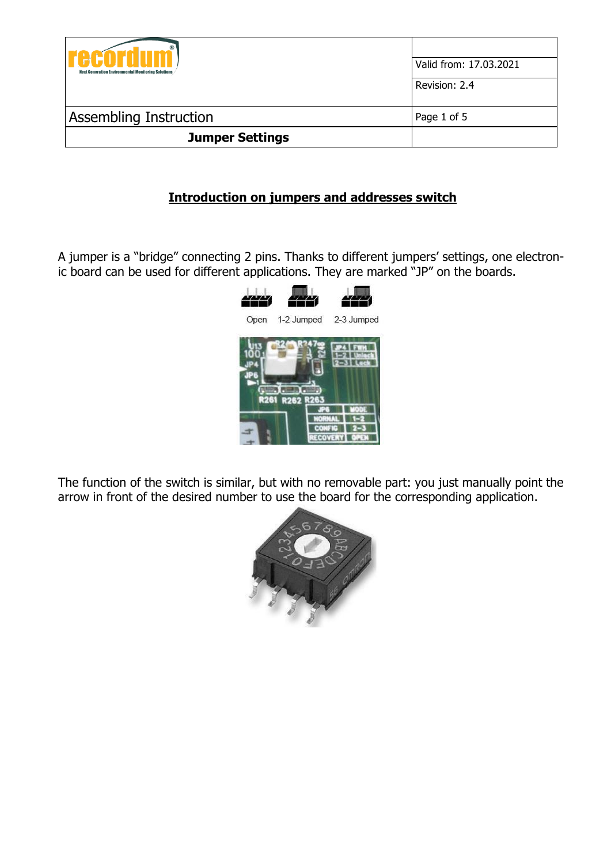| $^{\circledR}$<br>12 N N N<br><b>Next Generation Environmental Monitoring Solutions</b> | Valid from: 17.03.2021 |
|-----------------------------------------------------------------------------------------|------------------------|
|                                                                                         | Revision: 2.4          |
| <b>Assembling Instruction</b>                                                           | Page 1 of 5            |
| <b>Jumper Settings</b>                                                                  |                        |

## **Introduction on jumpers and addresses switch**

A jumper is a "bridge" connecting 2 pins. Thanks to different jumpers' settings, one electronic board can be used for different applications. They are marked "JP" on the boards.



The function of the switch is similar, but with no removable part: you just manually point the arrow in front of the desired number to use the board for the corresponding application.

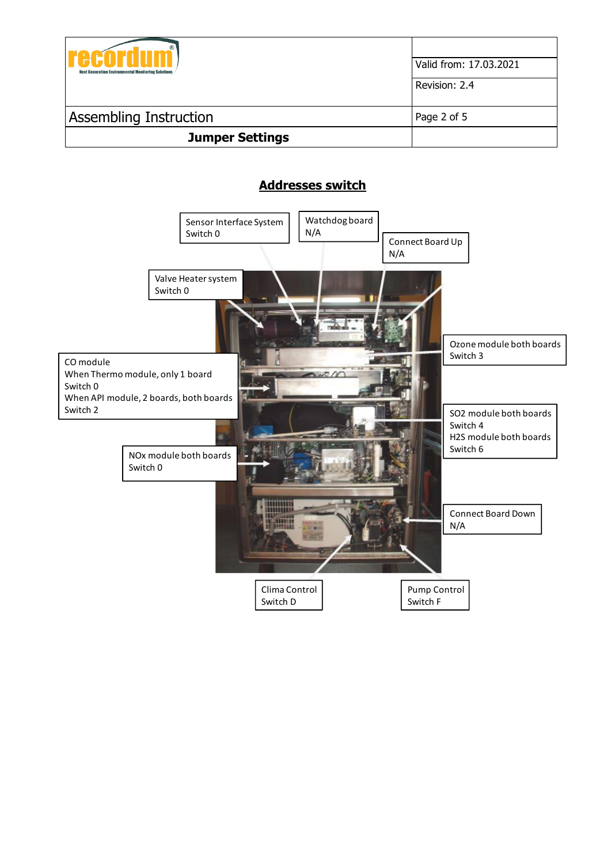

# **Addresses switch**

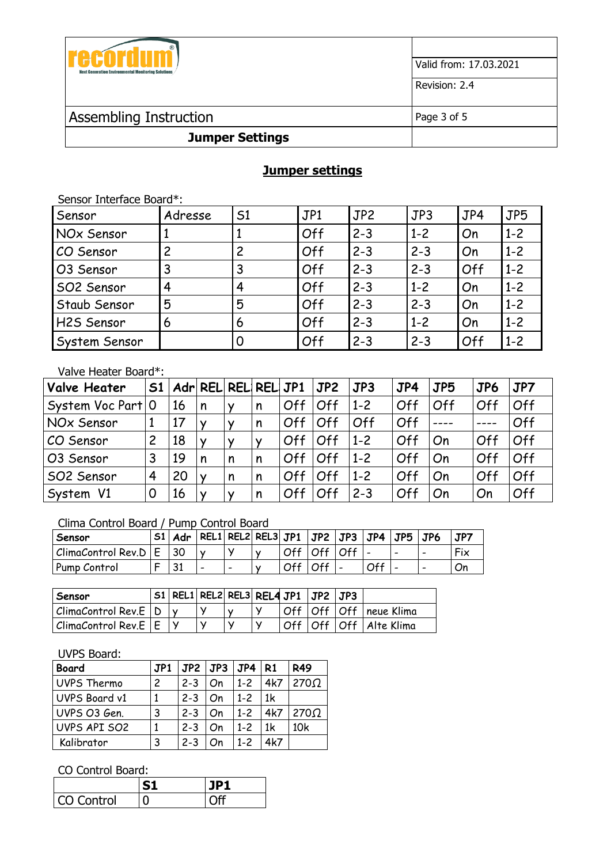

Valid from: 17.03.2021

Revision: 2.4

## Assembling Instruction Page 3 of 5

### **Jumper Settings**

## **Jumper settings**

| Sensor Interface Board*: |         |    |     |         |         |     |         |  |  |  |  |
|--------------------------|---------|----|-----|---------|---------|-----|---------|--|--|--|--|
| Sensor                   | Adresse | 51 | JPI | JP2     | JP3     | JP4 | JP5     |  |  |  |  |
| NOx Sensor               |         |    | Off | $2 - 3$ | $1 - 2$ | On  | $1 - 2$ |  |  |  |  |
| CO Sensor                | 2       | 2  | Off | $2 - 3$ | $2 - 3$ | On  | $1 - 2$ |  |  |  |  |
| O3 Sensor                | 3       | 3  | Off | $2 - 3$ | $2 - 3$ | Off | $1 - 2$ |  |  |  |  |
| SO2 Sensor               | 4       | 4  | Off | $2 - 3$ | $1 - 2$ | On  | $1 - 2$ |  |  |  |  |
| Staub Sensor             | 5       | 5  | Off | $2 - 3$ | $2 - 3$ | On  | $1 - 2$ |  |  |  |  |
| H2S Sensor               | 6       | 6  | Off | $2 - 3$ | $1 - 2$ | On  | $1 - 2$ |  |  |  |  |
| System Sensor            |         | 0  | Off | $2 - 3$ | $2 - 3$ | Off | $1 - 2$ |  |  |  |  |

## Valve Heater Board\*:

| <b>Valve Heater</b>      | 51 |    | Adr REL REL REL JP1 |                |   |     | JP2 | JP3     | JP4 | JP5 | JP6 | JP7 |
|--------------------------|----|----|---------------------|----------------|---|-----|-----|---------|-----|-----|-----|-----|
| System Voc Part   0      |    | 16 | n                   |                | n | Off | Off | $1 - 2$ | Off | Off | Off | Off |
| NOx Sensor               |    |    |                     |                | n | Off | Off | Off     | Off |     |     | Off |
| CO Sensor                | 2  | 18 |                     |                |   | Off | Off | $1 - 2$ | Off | On  | Off | Off |
| O3 Sensor                | 3  | 19 |                     | $\sqrt{n}$     | n | Off | Off | $1 - 2$ | Off | On  | Off | Off |
| SO2 Sensor               | 4  | 20 |                     | $\overline{n}$ | n | Off | Off | $1 - 2$ | Off | On  | Off | Off |
| V <sub>1</sub><br>System | 0  | 16 |                     |                | n | Off | Off | $2 - 3$ | Off | On  | On  | Off |

#### Clima Control Board / Pump Control Board

| Sensor                 | S1 |             | Adr   REL1  REL2  REL3  JP1   JP2   JP3   JP4 |                          |           |                 |     | $JPS$ $JPG$ |   | JP7 |
|------------------------|----|-------------|-----------------------------------------------|--------------------------|-----------|-----------------|-----|-------------|---|-----|
| ClimaControl Rev.D   E |    |             |                                               |                          |           | Off   Off   Off |     |             |   | Fix |
| Pump Control           |    | - 21<br>-91 |                                               | $\overline{\phantom{0}}$ | Off   Off |                 | Off |             | - | IJn |

| Sensor                                 |  |  |  | $\sqrt{51}$ REL1 REL2 REL3 REL4 JP1 $\sqrt{J}$ JP2 $\sqrt{J}$ |                              |
|----------------------------------------|--|--|--|---------------------------------------------------------------|------------------------------|
| $ {\it ClimaControl}$ Rev. $E   D   y$ |  |  |  |                                                               | Off   Off   Off   neue Klima |
| $ $ ClimaControl Rev.E $ $ E           |  |  |  |                                                               | Off   Off   Off   Alte Klima |

#### UVPS Board:

| <b>Board</b>  | JPI |         | $JP2$   $JP3$   $JP4$ |         | 1 R 1 | <b>R49</b>                  |
|---------------|-----|---------|-----------------------|---------|-------|-----------------------------|
| UVPS Thermo   | 2   | $2 - 3$ | On                    | $1 - 2$ | 4k7   | 270 <omega< td=""></omega<> |
| UVPS Board v1 |     | $2 - 3$ | On                    | $1 - 2$ | 1k    |                             |
| UVPS 03 Gen.  | 3   | $2 - 3$ | On                    | $1 - 2$ | 4k7   | 270Ω                        |
| UVPS API SO2  |     | $2 - 3$ | On                    | $1 - 2$ | 1k    | 10k                         |
| Kalibrator    | 3   | $2 - 3$ | Οn                    | $1 - 2$ | 4k7   |                             |

#### CO Control Board:

| CO Control | ۱F⊤ |
|------------|-----|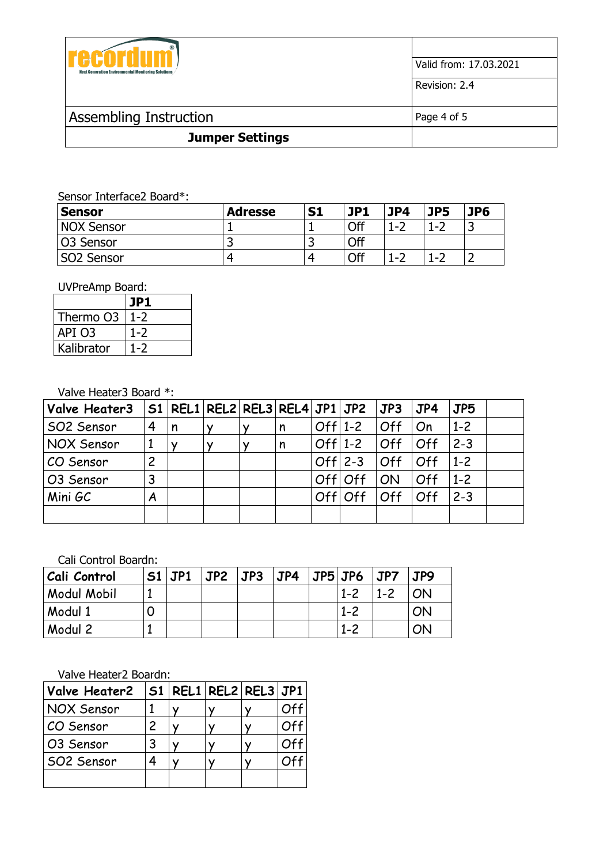

Sensor Interface2 Board\*:

| Sensor           | <b>Adresse</b> | S <sub>1</sub> | JP1 | JP4     | JP5           | JP6 |
|------------------|----------------|----------------|-----|---------|---------------|-----|
| NOX Sensor       |                |                | Off | $1 - 2$ | $1 - 7$       |     |
| <b>O3 Sensor</b> |                | ے              | Off |         |               |     |
| SO2 Sensor       |                |                | Off | $1 - 2$ | $\sim$ $\sim$ |     |

UVPreAmp Board:

|            | IP] |
|------------|-----|
| Thermo O3  |     |
| API O3     |     |
| Kalibrator |     |

Valve Heater3 Board \*:

| Valve Heater3 |                | $SI   REL1   REL2   REL3   REL4   JP1   JP2   JP3$ |   |              |   |            |            | JP4        | JP5     |  |
|---------------|----------------|----------------------------------------------------|---|--------------|---|------------|------------|------------|---------|--|
| SO2 Sensor    | 4              | n                                                  | ⅴ | $\checkmark$ | n | $Off 1-2$  | Off        | On         | $1 - 2$ |  |
| NOX Sensor    |                |                                                    |   |              | n | $Off 1-2 $ | <b>Off</b> | Off        | $ 2-3 $ |  |
| CO Sensor     | $\overline{c}$ |                                                    |   |              |   | $Off 2-3 $ | Off        | <b>Off</b> | $1-2$   |  |
| O3 Sensor     | 3              |                                                    |   |              |   | Offloff    | ON         | Off        | $1 - 2$ |  |
| Mini GC       | A              |                                                    |   |              |   | Offloff    | Off        | Off        | $2 - 3$ |  |
|               |                |                                                    |   |              |   |            |            |            |         |  |

Cali Control Boardn:

| Cali Control       | $SI$ JP1 | $JP2$ $JP3$ | JP4 | $JPS$ JP6 | JPT     | JP9 |
|--------------------|----------|-------------|-----|-----------|---------|-----|
| <b>Modul Mobil</b> |          |             |     | $1 - 2$   | $1 - 2$ | ON  |
| Modul 1            |          |             |     | $1 - 2$   |         | ON  |
| Modul 2            |          |             |     | $1 - 2$   |         | ON  |

Valve Heater2 Boardn:

| Valve Heater2     |   | $ S1 $ REL1 $ R$ EL2 $ R$ EL3 $ J$ P1 |  |  |
|-------------------|---|---------------------------------------|--|--|
| <b>NOX Sensor</b> |   |                                       |  |  |
| CO Sensor         | 2 |                                       |  |  |
| O3 Sensor         | 3 |                                       |  |  |
| SO2 Sensor        |   |                                       |  |  |
|                   |   |                                       |  |  |